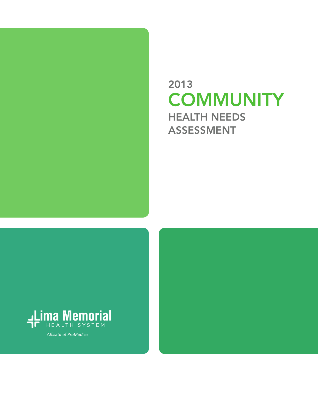

# 2013 **COMMUNITY** HEALTH NEEDS ASSESSMENT



Affiliate of ProMedica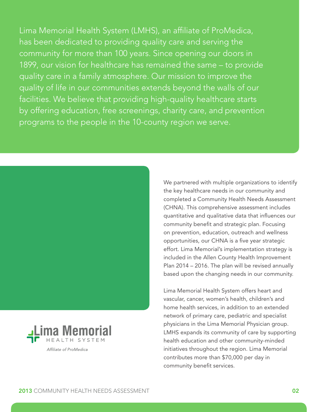Lima Memorial Health System (LMHS), an affiliate of ProMedica, has been dedicated to providing quality care and serving the community for more than 100 years. Since opening our doors in 1899, our vision for healthcare has remained the same – to provide quality care in a family atmosphere. Our mission to improve the quality of life in our communities extends beyond the walls of our facilities. We believe that providing high-quality healthcare starts by offering education, free screenings, charity care, and prevention programs to the people in the 10-county region we serve.





Affiliate of ProMedica

We partnered with multiple organizations to identify the key healthcare needs in our community and completed a Community Health Needs Assessment (CHNA). This comprehensive assessment includes quantitative and qualitative data that influences our community benefit and strategic plan. Focusing on prevention, education, outreach and wellness opportunities, our CHNA is a five year strategic effort. Lima Memorial's implementation strategy is included in the Allen County Health Improvement Plan 2014 – 2016. The plan will be revised annually based upon the changing needs in our community.

Lima Memorial Health System offers heart and vascular, cancer, women's health, children's and home health services, in addition to an extended network of primary care, pediatric and specialist physicians in the Lima Memorial Physician group. LMHS expands its community of care by supporting health education and other community-minded initiatives throughout the region. Lima Memorial contributes more than \$70,000 per day in community benefit services.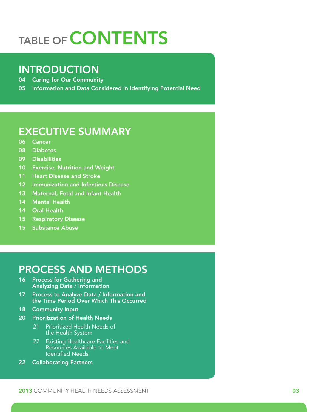# TABLE OF **CONTENTS**

# INTRODUCTION

04 Caring for Our Community

05 Information and Data Considered in Identifying Potential Need

# EXECUTIVE SUMMARY

- 06 Cancer
- 08 Diabetes
- 09 Disabilities
- 10 Exercise, Nutrition and Weight
- 11 Heart Disease and Stroke
- 12 Immunization and Infectious Disease
- 13 Maternal, Fetal and Infant Health
- 14 Mental Health
- 14 Oral Health
- 15 Respiratory Disease
- 15 Substance Abuse

# PROCESS AND METHODS

- 16 Process for Gathering and Analyzing Data / Information
- 17 Process to Analyze Data / Information and the Time Period Over Which This Occurred
- 18 Community Input
- 20 Prioritization of Health Needs
	- 21 Prioritized Health Needs of the Health System
	- 22 Existing Healthcare Facilities and Resources Available to Meet Identified Needs
- 22 Collaborating Partners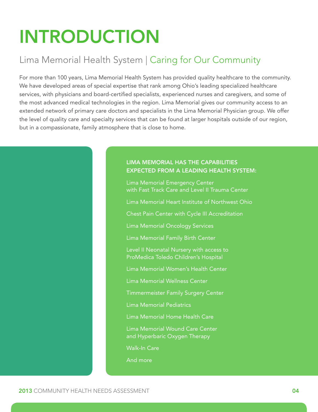# INTRODUCTION

# Lima Memorial Health System | Caring for Our Community

For more than 100 years, Lima Memorial Health System has provided quality healthcare to the community. We have developed areas of special expertise that rank among Ohio's leading specialized healthcare services, with physicians and board-certified specialists, experienced nurses and caregivers, and some of the most advanced medical technologies in the region. Lima Memorial gives our community access to an extended network of primary care doctors and specialists in the Lima Memorial Physician group. We offer the level of quality care and specialty services that can be found at larger hospitals outside of our region, but in a compassionate, family atmosphere that is close to home.

#### LIMA MEMORIAL HAS THE CAPABILITIES EXPECTED FROM A LEADING HEALTH SYSTEM:

Lima Memorial Emergency Center with Fast Track Care and Level II Trauma Center Lima Memorial Heart Institute of Northwest Ohio Chest Pain Center with Cycle III Accreditation Lima Memorial Oncology Services Lima Memorial Family Birth Center Level II Neonatal Nursery with access to

ProMedica Toledo Children's Hospital

Lima Memorial Women's Health Center

Lima Memorial Wellness Center

Timmermeister Family Surgery Center

Lima Memorial Pediatrics

Lima Memorial Home Health Care

Lima Memorial Wound Care Center and Hyperbaric Oxygen Therapy

Walk-In Care

And more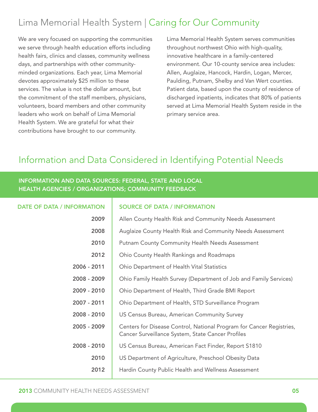# Lima Memorial Health System | Caring for Our Community

We are very focused on supporting the communities we serve through health education efforts including health fairs, clinics and classes, community wellness days, and partnerships with other communityminded organizations. Each year, Lima Memorial devotes approximately \$25 million to these services. The value is not the dollar amount, but the commitment of the staff members, physicians, volunteers, board members and other community leaders who work on behalf of Lima Memorial Health System. We are grateful for what their contributions have brought to our community.

Lima Memorial Health System serves communities throughout northwest Ohio with high-quality, innovative healthcare in a family-centered environment. Our 10-county service area includes: Allen, Auglaize, Hancock, Hardin, Logan, Mercer, Paulding, Putnam, Shelby and Van Wert counties. Patient data, based upon the county of residence of discharged inpatients, indicates that 80% of patients served at Lima Memorial Health System reside in the primary service area.

# Information and Data Considered in Identifying Potential Needs

#### INFORMATION AND DATA SOURCES: FEDERAL, STATE AND LOCAL HEALTH AGENCIES / ORGANIZATIONS; COMMUNITY FEEDBACK

| <b>DATE OF DATA / INFORMATION</b> | <b>SOURCE OF DATA / INFORMATION</b>                                                                                       |
|-----------------------------------|---------------------------------------------------------------------------------------------------------------------------|
| 2009                              | Allen County Health Risk and Community Needs Assessment                                                                   |
| 2008                              | Auglaize County Health Risk and Community Needs Assessment                                                                |
| 2010                              | <b>Putnam County Community Health Needs Assessment</b>                                                                    |
| 2012                              | Ohio County Health Rankings and Roadmaps                                                                                  |
| 2006 - 2011                       | Ohio Department of Health Vital Statistics                                                                                |
| 2008 - 2009                       | Ohio Family Health Survey (Department of Job and Family Services)                                                         |
| 2009 - 2010                       | Ohio Department of Health, Third Grade BMI Report                                                                         |
| 2007 - 2011                       | Ohio Department of Health, STD Surveillance Program                                                                       |
| 2008 - 2010                       | US Census Bureau, American Community Survey                                                                               |
| 2005 - 2009                       | Centers for Disease Control, National Program for Cancer Registries,<br>Cancer Surveillance System, State Cancer Profiles |
| 2008 - 2010                       | US Census Bureau, American Fact Finder, Report S1810                                                                      |
| 2010                              | US Department of Agriculture, Preschool Obesity Data                                                                      |
| 2012                              | Hardin County Public Health and Wellness Assessment                                                                       |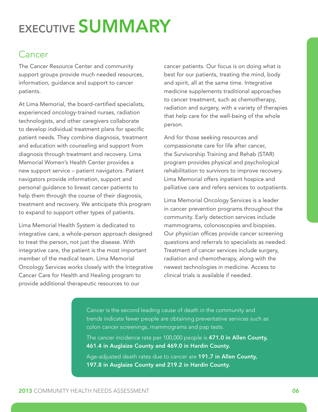# EXECUTIVE SUMMARY

# Cancer

The Cancer Resource Center and community support groups provide much needed resources, information, guidance and support to cancer patients.

At Lima Memorial, the board-certified specialists, experienced oncology-trained nurses, radiation technologists, and other caregivers collaborate to develop individual treatment plans for specific patient needs. They combine diagnosis, treatment and education with counseling and support from diagnosis through treatment and recovery. Lima Memorial Women's Health Center provides a new support service – patient navigators. Patient navigators provide information, support and personal guidance to breast cancer patients to help them through the course of their diagnosis, treatment and recovery. We anticipate this program to expand to support other types of patients.

Lima Memorial Health System is dedicated to integrative care, a whole-person approach designed to treat the person, not just the disease. With integrative care, the patient is the most important member of the medical team. Lima Memorial Oncology Services works closely with the Integrative Cancer Care for Health and Healing program to provide additional therapeutic resources to our

cancer patients. Our focus is on doing what is best for our patients, treating the mind, body and spirit, all at the same time. Integrative medicine supplements traditional approaches to cancer treatment, such as chemotherapy, radiation and surgery, with a variety of therapies that help care for the well-being of the whole person.

And for those seeking resources and compassionate care for life after cancer, the Survivorship Training and Rehab (STAR) program provides physical and psychological rehabilitation to survivors to improve recovery. Lima Memorial offers inpatient hospice and palliative care and refers services to outpatients.

Lima Memorial Oncology Services is a leader in cancer prevention programs throughout the community. Early detection services include mammograms, colonoscopies and biopsies. Our physician offices provide cancer screening questions and referrals to specialists as needed. Treatment of cancer services include surgery, radiation and chemotherapy, along with the newest technologies in medicine. Access to clinical trials is available if needed.

Cancer is the second leading cause of death in the community and trends indicate fewer people are obtaining preventative services such as colon cancer screenings, mammograms and pap tests.

The cancer incidence rate per 100,000 people is 471.0 in Allen County, 461.4 in Auglaize County and 469.0 in Hardin County.

Age-adjusted death rates due to cancer are 191.7 in Allen County, 197.8 in Auglaize County and 219.2 in Hardin County.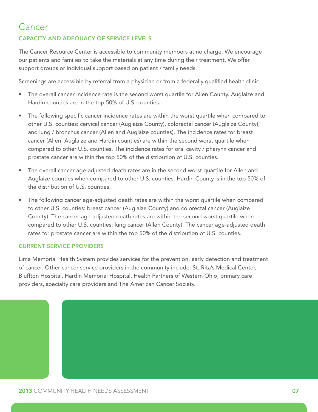# Cancer

#### CAPACITY AND ADEQUACY OF SERVICE LEVELS

The Cancer Resource Center is accessible to community members at no charge. We encourage our patients and families to take the materials at any time during their treatment. We offer support groups or individual support based on patient / family needs.

Screenings are accessible by referral from a physician or from a federally qualified health clinic.

- The overall cancer incidence rate is the second worst quartile for Allen County. Auglaize and Hardin counties are in the top 50% of U.S. counties.
- The following specific cancer incidence rates are within the worst quartile when compared to other U.S. counties: cervical cancer (Auglaize County), colorectal cancer (Auglaize County), and lung / bronchus cancer (Allen and Auglaize counties). The incidence rates for breast cancer (Allen, Auglaize and Hardin counties) are within the second worst quartile when compared to other U.S. counties. The incidence rates for oral cavity / pharynx cancer and prostate cancer are within the top 50% of the distribution of U.S. counties.
- The overall cancer age-adjusted death rates are in the second worst quartile for Allen and Auglaize counties when compared to other U.S. counties. Hardin County is in the top 50% of the distribution of U.S. counties.
- The following cancer age-adjusted death rates are within the worst quartile when compared to other U.S. counties: breast cancer (Auglaize County) and colorectal cancer (Auglaize County). The cancer age-adjusted death rates are within the second worst quartile when compared to other U.S. counties: lung cancer (Allen County). The cancer age-adjusted death rates for prostate cancer are within the top 50% of the distribution of U.S. counties.

#### CURRENT SERVICE PROVIDERS

Lima Memorial Health System provides services for the prevention, early detection and treatment of cancer. Other cancer service providers in the community include: St. Rita's Medical Center, Bluffton Hospital, Hardin Memorial Hospital, Health Partners of Western Ohio, primary care providers, specialty care providers and The American Cancer Society.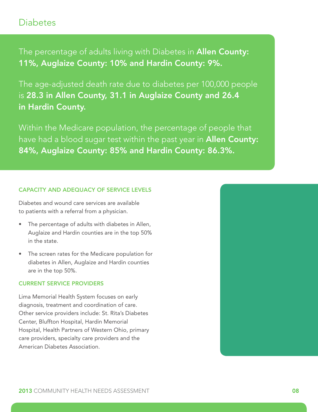### **Diabetes**

The percentage of adults living with Diabetes in **Allen County:** 11%, Auglaize County: 10% and Hardin County: 9%.

The age-adjusted death rate due to diabetes per 100,000 people is 28.3 in Allen County, 31.1 in Auglaize County and 26.4 in Hardin County.

Within the Medicare population, the percentage of people that have had a blood sugar test within the past year in **Allen County:** 84%, Auglaize County: 85% and Hardin County: 86.3%.

#### CAPACITY AND ADEQUACY OF SERVICE LEVELS

Diabetes and wound care services are available to patients with a referral from a physician.

- The percentage of adults with diabetes in Allen, Auglaize and Hardin counties are in the top 50% in the state.
- The screen rates for the Medicare population for diabetes in Allen, Auglaize and Hardin counties are in the top 50%.

#### CURRENT SERVICE PROVIDERS

Lima Memorial Health System focuses on early diagnosis, treatment and coordination of care. Other service providers include: St. Rita's Diabetes Center, Bluffton Hospital, Hardin Memorial Hospital, Health Partners of Western Ohio, primary care providers, specialty care providers and the American Diabetes Association.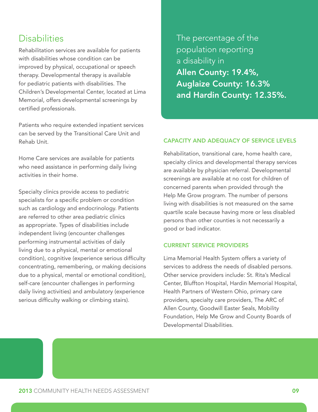# **Disabilities**

Rehabilitation services are available for patients with disabilities whose condition can be improved by physical, occupational or speech therapy. Developmental therapy is available for pediatric patients with disabilities. The Children's Developmental Center, located at Lima Memorial, offers developmental screenings by certified professionals.

Patients who require extended inpatient services can be served by the Transitional Care Unit and Rehab Unit.

Home Care services are available for patients who need assistance in performing daily living activities in their home.

Specialty clinics provide access to pediatric specialists for a specific problem or condition such as cardiology and endocrinology. Patients are referred to other area pediatric clinics as appropriate. Types of disabilities include independent living (encounter challenges performing instrumental activities of daily living due to a physical, mental or emotional condition), cognitive (experience serious difficulty concentrating, remembering, or making decisions due to a physical, mental or emotional condition), self-care (encounter challenges in performing daily living activities) and ambulatory (experience serious difficulty walking or climbing stairs).

The percentage of the population reporting a disability in Allen County: 19.4%, Auglaize County: 16.3% and Hardin County: 12.35%.

#### CAPACITY AND ADEQUACY OF SERVICE LEVELS

Rehabilitation, transitional care, home health care, specialty clinics and developmental therapy services are available by physician referral. Developmental screenings are available at no cost for children of concerned parents when provided through the Help Me Grow program. The number of persons living with disabilities is not measured on the same quartile scale because having more or less disabled persons than other counties is not necessarily a good or bad indicator.

#### CURRENT SERVICE PROVIDERS

Lima Memorial Health System offers a variety of services to address the needs of disabled persons. Other service providers include: St. Rita's Medical Center, Bluffton Hospital, Hardin Memorial Hospital, Health Partners of Western Ohio, primary care providers, specialty care providers, The ARC of Allen County, Goodwill Easter Seals, Mobility Foundation, Help Me Grow and County Boards of Developmental Disabilities.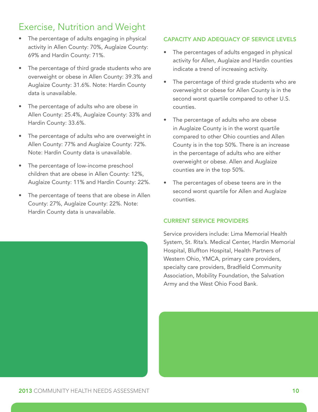# Exercise, Nutrition and Weight

- The percentage of adults engaging in physical activity in Allen County: 70%, Auglaize County: 69% and Hardin County: 71%.
- The percentage of third grade students who are overweight or obese in Allen County: 39.3% and Auglaize County: 31.6%. Note: Hardin County data is unavailable.
- The percentage of adults who are obese in Allen County: 25.4%, Auglaize County: 33% and Hardin County: 33.6%.
- The percentage of adults who are overweight in Allen County: 77% and Auglaize County: 72%. Note: Hardin County data is unavailable.
- The percentage of low-income preschool children that are obese in Allen County: 12%, Auglaize County: 11% and Hardin County: 22%.
- The percentage of teens that are obese in Allen County: 27%, Auglaize County: 22%. Note: Hardin County data is unavailable.

#### CAPACITY AND ADEQUACY OF SERVICE LEVELS

- The percentages of adults engaged in physical activity for Allen, Auglaize and Hardin counties indicate a trend of increasing activity.
- The percentage of third grade students who are overweight or obese for Allen County is in the second worst quartile compared to other U.S. counties.
- The percentage of adults who are obese in Auglaize County is in the worst quartile compared to other Ohio counties and Allen County is in the top 50%. There is an increase in the percentage of adults who are either overweight or obese. Allen and Auglaize counties are in the top 50%.
- The percentages of obese teens are in the second worst quartile for Allen and Auglaize counties.

#### CURRENT SERVICE PROVIDERS

Service providers include: Lima Memorial Health System, St. Rita's. Medical Center, Hardin Memorial Hospital, Bluffton Hospital, Health Partners of Western Ohio, YMCA, primary care providers, specialty care providers, Bradfield Community Association, Mobility Foundation, the Salvation Army and the West Ohio Food Bank.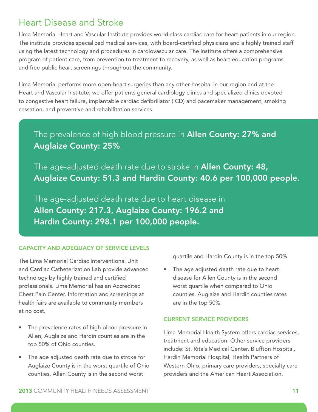# Heart Disease and Stroke

Lima Memorial Heart and Vascular Institute provides world-class cardiac care for heart patients in our region. The institute provides specialized medical services, with board-certified physicians and a highly trained staff using the latest technology and procedures in cardiovascular care. The institute offers a comprehensive program of patient care, from prevention to treatment to recovery, as well as heart education programs and free public heart screenings throughout the community.

Lima Memorial performs more open-heart surgeries than any other hospital in our region and at the Heart and Vascular Institute, we offer patients general cardiology clinics and specialized clinics devoted to congestive heart failure, implantable cardiac defibrillator (ICD) and pacemaker management, smoking cessation, and preventive and rehabilitation services.

# The prevalence of high blood pressure in Allen County: 27% and Auglaize County: 25%.

The age-adjusted death rate due to stroke in **Allen County: 48,** Auglaize County: 51.3 and Hardin County: 40.6 per 100,000 people.

The age-adjusted death rate due to heart disease in Allen County: 217.3, Auglaize County: 196.2 and Hardin County: 298.1 per 100,000 people.

#### CAPACITY AND ADEQUACY OF SERVICE LEVELS

The Lima Memorial Cardiac Interventional Unit and Cardiac Catheterization Lab provide advanced technology by highly trained and certified professionals. Lima Memorial has an Accredited Chest Pain Center. Information and screenings at health fairs are available to community members at no cost.

- The prevalence rates of high blood pressure in Allen, Auglaize and Hardin counties are in the top 50% of Ohio counties.
- The age adjusted death rate due to stroke for Auglaize County is in the worst quartile of Ohio counties, Allen County is in the second worst

quartile and Hardin County is in the top 50%.

• The age adjusted death rate due to heart disease for Allen County is in the second worst quartile when compared to Ohio counties. Auglaize and Hardin counties rates are in the top 50%.

#### CURRENT SERVICE PROVIDERS

Lima Memorial Health System offers cardiac services, treatment and education. Other service providers include: St. Rita's Medical Center, Bluffton Hospital, Hardin Memorial Hospital, Health Partners of Western Ohio, primary care providers, specialty care providers and the American Heart Association.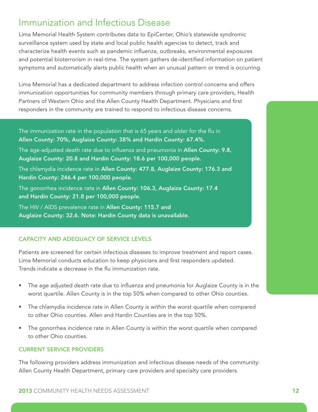# Immunization and Infectious Disease

Lima Memorial Health System contributes data to EpiCenter, Ohio's statewide syndromic surveillance system used by state and local public health agencies to detect, track and characterize health events such as pandemic influenza, outbreaks, environmental exposures and potential bioterrorism in real-time. The system gathers de-identified information on patient symptoms and automatically alerts public health when an unusual pattern or trend is occurring.

Lima Memorial has a dedicated department to address infection control concerns and offers immunization opportunities for community members through primary care providers, Health Partners of Western Ohio and the Allen County Health Department. Physicians and first responders in the community are trained to respond to infectious disease concerns.

The immunization rate in the population that is 65 years and older for the flu in Allen County: 70%, Auglaize County: 38% and Hardin County: 67.4%.

The age-adjusted death rate due to influenza and pneumonia in Allen County: 9.8, Auglaize County: 20.8 and Hardin County: 18.6 per 100,000 people.

The chlamydia incidence rate in Allen County: 477.8, Auglaize County: 176.3 and Hardin County: 246.4 per 100,000 people.

The gonorrhea incidence rate in Allen County: 106.3, Auglaize County: 17.4 and Hardin County: 21.8 per 100,000 people.

The HIV / AIDS prevalence rate in Allen County: 115.7 and Auglaize County: 32.6. Note: Hardin County data is unavailable.

#### CAPACITY AND ADEQUACY OF SERVICE LEVELS

Patients are screened for certain infectious diseases to improve treatment and report cases. Lima Memorial conducts education to keep physicians and first responders updated. Trends indicate a decrease in the flu immunization rate.

- The age adjusted death rate due to influenza and pneumonia for Auglaize County is in the worst quartile. Allen County is in the top 50% when compared to other Ohio counties.
- The chlamydia incidence rate in Allen County is within the worst quartile when compared to other Ohio counties. Allen and Hardin Counties are in the top 50%.
- The gonorrhea incidence rate in Allen County is within the worst quartile when compared to other Ohio counties.

#### CURRENT SERVICE PROVIDERS

The following providers address immunization and infectious disease needs of the community: Allen County Health Department, primary care providers and specialty care providers.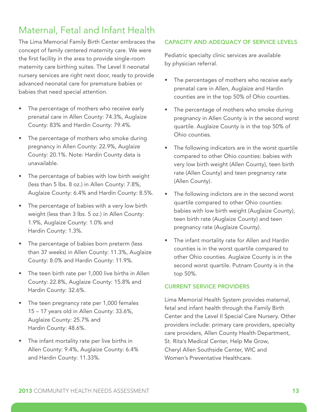# Maternal, Fetal and Infant Health

The Lima Memorial Family Birth Center embraces the concept of family centered maternity care. We were the first facility in the area to provide single-room maternity care birthing suites. The Level II neonatal nursery services are right next door, ready to provide advanced neonatal care for premature babies or babies that need special attention.

- The percentage of mothers who receive early prenatal care in Allen County: 74.3%, Auglaize County: 83% and Hardin County: 79.4%.
- The percentage of mothers who smoke during pregnancy in Allen County: 22.9%, Auglaize County: 20.1%. Note: Hardin County data is unavailable.
- The percentage of babies with low birth weight (less than 5 lbs. 8 oz.) in Allen County: 7.8%, Auglaize County: 6.4% and Hardin County: 8.5%.
- The percentage of babies with a very low birth weight (less than 3 lbs. 5 oz.) in Allen County: 1.9%, Auglaize County: 1.0% and Hardin County: 1.3%.
- The percentage of babies born preterm (less than 37 weeks) in Allen County: 11.3%, Auglaize County: 8.0% and Hardin County: 11.9%.
- The teen birth rate per 1,000 live births in Allen County: 22.8%, Auglaize County: 15.8% and Hardin County: 32.6%.
- The teen pregnancy rate per 1,000 females 15 – 17 years old in Allen County: 33.6%, Auglaize County: 25.7% and Hardin County: 48.6%.
- The infant mortality rate per live births in Allen County: 9.4%, Auglaize County: 6.4% and Hardin County: 11.33%.

#### CAPACITY AND ADEQUACY OF SERVICE LEVELS

Pediatric specialty clinic services are available by physician referral.

- The percentages of mothers who receive early prenatal care in Allen, Auglaize and Hardin counties are in the top 50% of Ohio counties.
- The percentage of mothers who smoke during pregnancy in Allen County is in the second worst quartile. Auglaize County is in the top 50% of Ohio counties.
- The following indicators are in the worst quartile compared to other Ohio counties: babies with very low birth weight (Allen County), teen birth rate (Allen County) and teen pregnancy rate (Allen County).
- The following indictors are in the second worst quartile compared to other Ohio counties: babies with low birth weight (Auglaize County), teen birth rate (Auglaize County) and teen pregnancy rate (Auglaize County).
- The infant mortality rate for Allen and Hardin counties is in the worst quartile compared to other Ohio counties. Auglaize County is in the second worst quartile. Putnam County is in the top 50%.

#### CURRENT SERVICE PROVIDERS

Lima Memorial Health System provides maternal, fetal and infant health through the Family Birth Center and the Level II Special Care Nursery. Other providers include: primary care providers, specialty care providers, Allen County Health Department, St. Rita's Medical Center, Help Me Grow, Cheryl Allen Southside Center, WIC and Women's Preventative Healthcare.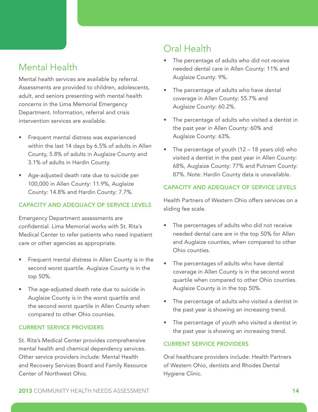# Mental Health

Mental health services are available by referral. Assessments are provided to children, adolescents, adult, and seniors presenting with mental health concerns in the Lima Memorial Emergency Department. Information, referral and crisis intervention services are available.

- Frequent mental distress was experienced within the last 14 days by 6.5% of adults in Allen County, 5.8% of adults in Auglaize County and 3.1% of adults in Hardin County.
- Age-adjusted death rate due to suicide per 100,000 in Allen County: 11.9%, Auglaize County: 14.8% and Hardin County: 7.7%.

#### CAPACITY AND ADEQUACY OF SERVICE LEVELS

Emergency Department assessments are confidential. Lima Memorial works with St. Rita's Medical Center to refer patients who need inpatient care or other agencies as appropriate.

- Frequent mental distress in Allen County is in the second worst quartile. Auglaize County is in the top 50%.
- The age-adjusted death rate due to suicide in Auglaize County is in the worst quartile and the second worst quartile in Allen County when compared to other Ohio counties.

#### CURRENT SERVICE PROVIDERS

St. Rita's Medical Center provides comprehensive mental health and chemical dependency services. Other service providers include: Mental Health and Recovery Services Board and Family Resource Center of Northwest Ohio.

# Oral Health

- The percentage of adults who did not receive needed dental care in Allen County: 11% and Auglaize County: 9%.
- The percentage of adults who have dental coverage in Allen County: 55.7% and Auglaize County: 60.2%.
- The percentage of adults who visited a dentist in the past year in Allen County: 60% and Auglaize County: 63%.
- The percentage of youth  $(12 18$  years old) who visited a dentist in the past year in Allen County: 68%, Auglaize County: 77% and Putnam County: 87%. Note: Hardin County data is unavailable.

#### CAPACITY AND ADEQUACY OF SERVICE LEVELS

Health Partners of Western Ohio offers services on a sliding fee scale.

- The percentages of adults who did not receive needed dental care are in the top 50% for Allen and Auglaize counties, when compared to other Ohio counties.
- The percentages of adults who have dental coverage in Allen County is in the second worst quartile when compared to other Ohio counties. Auglaize County is in the top 50%.
- The percentage of adults who visited a dentist in the past year is showing an increasing trend.
- The percentage of youth who visited a dentist in the past year is showing an increasing trend.

#### CURRENT SERVICE PROVIDERS

Oral healthcare providers include: Health Partners of Western Ohio, dentists and Rhodes Dental Hygiene Clinic.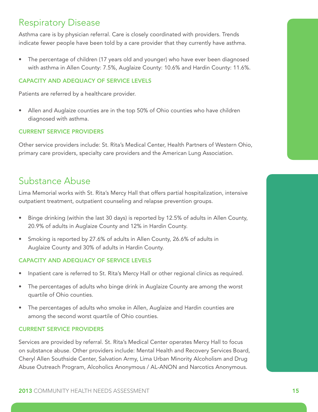# Respiratory Disease

Asthma care is by physician referral. Care is closely coordinated with providers. Trends indicate fewer people have been told by a care provider that they currently have asthma.

• The percentage of children (17 years old and younger) who have ever been diagnosed with asthma in Allen County: 7.5%, Auglaize County: 10.6% and Hardin County: 11.6%.

#### CAPACITY AND ADEQUACY OF SERVICE LEVELS

Patients are referred by a healthcare provider.

• Allen and Auglaize counties are in the top 50% of Ohio counties who have children diagnosed with asthma.

#### CURRENT SERVICE PROVIDERS

Other service providers include: St. Rita's Medical Center, Health Partners of Western Ohio, primary care providers, specialty care providers and the American Lung Association.

## Substance Abuse

Lima Memorial works with St. Rita's Mercy Hall that offers partial hospitalization, intensive outpatient treatment, outpatient counseling and relapse prevention groups.

- Binge drinking (within the last 30 days) is reported by 12.5% of adults in Allen County, 20.9% of adults in Auglaize County and 12% in Hardin County.
- Smoking is reported by 27.6% of adults in Allen County, 26.6% of adults in Auglaize County and 30% of adults in Hardin County.

#### CAPACITY AND ADEQUACY OF SERVICE LEVELS

- Inpatient care is referred to St. Rita's Mercy Hall or other regional clinics as required.
- The percentages of adults who binge drink in Auglaize County are among the worst quartile of Ohio counties.
- The percentages of adults who smoke in Allen, Auglaize and Hardin counties are among the second worst quartile of Ohio counties.

#### CURRENT SERVICE PROVIDERS

Services are provided by referral. St. Rita's Medical Center operates Mercy Hall to focus on substance abuse. Other providers include: Mental Health and Recovery Services Board, Cheryl Allen Southside Center, Salvation Army, Lima Urban Minority Alcoholism and Drug Abuse Outreach Program, Alcoholics Anonymous / AL-ANON and Narcotics Anonymous.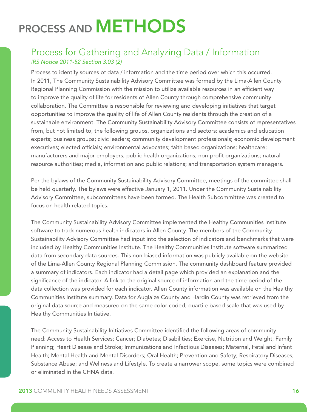# PROCESS AND METHODS

### Process for Gathering and Analyzing Data / Information *IRS Notice 2011-52 Section 3.03 (2)*

Process to identify sources of data / information and the time period over which this occurred. In 2011, The Community Sustainability Advisory Committee was formed by the Lima-Allen County Regional Planning Commission with the mission to utilize available resources in an efficient way to improve the quality of life for residents of Allen County through comprehensive community collaboration. The Committee is responsible for reviewing and developing initiatives that target opportunities to improve the quality of life of Allen County residents through the creation of a sustainable environment. The Community Sustainability Advisory Committee consists of representatives from, but not limited to, the following groups, organizations and sectors: academics and education experts; business groups; civic leaders; community development professionals; economic development executives; elected officials; environmental advocates; faith based organizations; healthcare; manufacturers and major employers; public health organizations; non-profit organizations; natural resource authorities; media, information and public relations; and transportation system managers.

Per the bylaws of the Community Sustainability Advisory Committee, meetings of the committee shall be held quarterly. The bylaws were effective January 1, 2011. Under the Community Sustainability Advisory Committee, subcommittees have been formed. The Health Subcommittee was created to focus on health related topics.

The Community Sustainability Advisory Committee implemented the Healthy Communities Institute software to track numerous health indicators in Allen County. The members of the Community Sustainability Advisory Committee had input into the selection of indicators and benchmarks that were included by Healthy Communities Institute. The Healthy Communities Institute software summarized data from secondary data sources. This non-biased information was publicly available on the website of the Lima-Allen County Regional Planning Commission. The community dashboard feature provided a summary of indicators. Each indicator had a detail page which provided an explanation and the significance of the indicator. A link to the original source of information and the time period of the data collection was provided for each indicator. Allen County information was available on the Healthy Communities Institute summary. Data for Auglaize County and Hardin County was retrieved from the original data source and measured on the same color coded, quartile based scale that was used by Healthy Communities Initiative.

The Community Sustainability Initiatives Committee identified the following areas of community need: Access to Health Services; Cancer; Diabetes; Disabilities; Exercise, Nutrition and Weight; Family Planning; Heart Disease and Stroke; Immunizations and Infectious Diseases; Maternal, Fetal and Infant Health; Mental Health and Mental Disorders; Oral Health; Prevention and Safety; Respiratory Diseases; Substance Abuse; and Wellness and Lifestyle. To create a narrower scope, some topics were combined or eliminated in the CHNA data.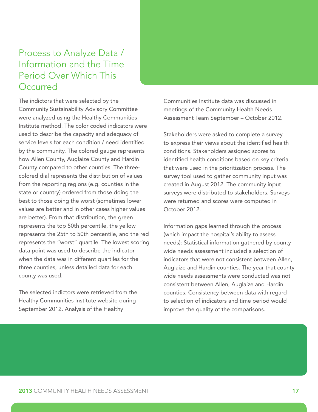# Process to Analyze Data / Information and the Time Period Over Which This **Occurred**

The indictors that were selected by the Community Sustainability Advisory Committee were analyzed using the Healthy Communities Institute method. The color coded indicators were used to describe the capacity and adequacy of service levels for each condition / need identified by the community. The colored gauge represents how Allen County, Auglaize County and Hardin County compared to other counties. The threecolored dial represents the distribution of values from the reporting regions (e.g. counties in the state or country) ordered from those doing the best to those doing the worst (sometimes lower values are better and in other cases higher values are better). From that distribution, the green represents the top 50th percentile, the yellow represents the 25th to 50th percentile, and the red represents the "worst" quartile. The lowest scoring data point was used to describe the indicator when the data was in different quartiles for the three counties, unless detailed data for each county was used.

The selected indictors were retrieved from the Healthy Communities Institute website during September 2012. Analysis of the Healthy

Communities Institute data was discussed in meetings of the Community Health Needs Assessment Team September – October 2012.

Stakeholders were asked to complete a survey to express their views about the identified health conditions. Stakeholders assigned scores to identified health conditions based on key criteria that were used in the prioritization process. The survey tool used to gather community input was created in August 2012. The community input surveys were distributed to stakeholders. Surveys were returned and scores were computed in October 2012.

Information gaps learned through the process (which impact the hospital's ability to assess needs): Statistical information gathered by county wide needs assessment included a selection of indicators that were not consistent between Allen, Auglaize and Hardin counties. The year that county wide needs assessments were conducted was not consistent between Allen, Auglaize and Hardin counties. Consistency between data with regard to selection of indicators and time period would improve the quality of the comparisons.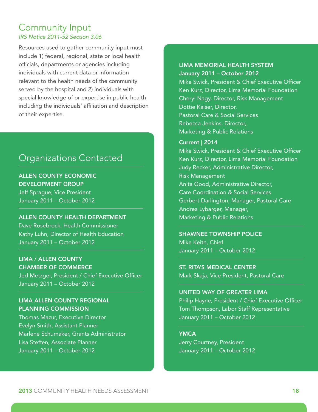### Community Input *IRS Notice 2011-52 Section 3.06*

Resources used to gather community input must include 1) federal, regional, state or local health officials, departments or agencies including individuals with current data or information relevant to the health needs of the community served by the hospital and 2) individuals with special knowledge of or expertise in public health including the individuals' affiliation and description of their expertise.

## Organizations Contacted

ALLEN COUNTY ECONOMIC DEVELOPMENT GROUP Jeff Sprague, Vice President January 2011 – October 2012

#### ALLEN COUNTY HEALTH DEPARTMENT

Dave Rosebrock, Health Commissioner Kathy Luhn, Director of Health Education January 2011 – October 2012

#### LIMA / ALLEN COUNTY CHAMBER OF COMMERCE

Jed Metzger, President / Chief Executive Officer January 2011 – October 2012

#### LIMA ALLEN COUNTY REGIONAL PLANNING COMMISSION

Thomas Mazur, Executive Director Evelyn Smith, Assistant Planner Marlene Schumaker, Grants Administrator Lisa Steffen, Associate Planner January 2011 – October 2012

#### LIMA MEMORIAL HEALTH SYSTEM January 2011 – October 2012

Mike Swick, President & Chief Executive Officer Ken Kurz, Director, Lima Memorial Foundation Cheryl Nagy, Director, Risk Management Dottie Kaiser, Director, Pastoral Care & Social Services Rebecca Jenkins, Director, Marketing & Public Relations

#### Current | 2014

Mike Swick, President & Chief Executive Officer Ken Kurz, Director, Lima Memorial Foundation Judy Recker, Administrative Director, Risk Management Anita Good, Administrative Director, Care Coordination & Social Services Gerbert Darlington, Manager, Pastoral Care Andrea Lybarger, Manager, Marketing & Public Relations

#### SHAWNEE TOWNSHIP POLICE

Mike Keith, Chief January 2011 – October 2012

ST. RITA'S MEDICAL CENTER Mark Skaja, Vice President, Pastoral Care

#### UNITED WAY OF GREATER LIMA

Philip Hayne, President / Chief Executive Officer Tom Thompson, Labor Staff Representative January 2011 – October 2012

#### **YMCA**

Jerry Courtney, President January 2011 – October 2012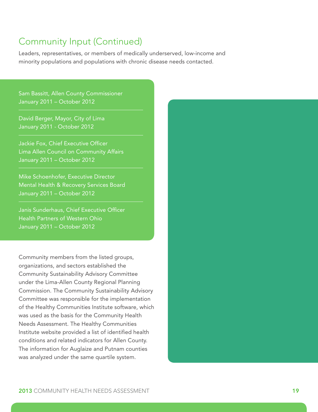## Community Input (Continued)

Leaders, representatives, or members of medically underserved, low-income and minority populations and populations with chronic disease needs contacted.

Sam Bassitt, Allen County Commissioner January 2011 – October 2012

David Berger, Mayor, City of Lima January 2011 - October 2012

Jackie Fox, Chief Executive Officer Lima Allen Council on Community Affairs January 2011 – October 2012

Mike Schoenhofer, Executive Director Mental Health & Recovery Services Board January 2011 – October 2012

Janis Sunderhaus, Chief Executive Officer Health Partners of Western Ohio January 2011 – October 2012

Community members from the listed groups, organizations, and sectors established the Community Sustainability Advisory Committee under the Lima-Allen County Regional Planning Commission. The Community Sustainability Advisory Committee was responsible for the implementation of the Healthy Communities Institute software, which was used as the basis for the Community Health Needs Assessment. The Healthy Communities Institute website provided a list of identified health conditions and related indicators for Allen County. The information for Auglaize and Putnam counties was analyzed under the same quartile system.

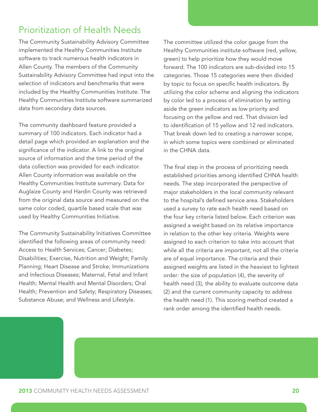# Prioritization of Health Needs

The Community Sustainability Advisory Committee implemented the Healthy Communities Institute software to track numerous health indicators in Allen County. The members of the Community Sustainability Advisory Committee had input into the selection of indicators and benchmarks that were included by the Healthy Communities Institute. The Healthy Communities Institute software summarized data from secondary data sources.

The community dashboard feature provided a summary of 100 indicators. Each indicator had a detail page which provided an explanation and the significance of the indicator. A link to the original source of information and the time period of the data collection was provided for each indicator. Allen County information was available on the Healthy Communities Institute summary. Data for Auglaize County and Hardin County was retrieved from the original data source and measured on the same color coded, quartile based scale that was used by Healthy Communities Initiative.

The Community Sustainability Initiatives Committee identified the following areas of community need: Access to Health Services; Cancer; Diabetes; Disabilities; Exercise, Nutrition and Weight; Family Planning; Heart Disease and Stroke; Immunizations and Infectious Diseases; Maternal, Fetal and Infant Health; Mental Health and Mental Disorders; Oral Health; Prevention and Safety; Respiratory Diseases; Substance Abuse; and Wellness and Lifestyle.

The committee utilized the color gauge from the Healthy Communities institute software (red, yellow, green) to help prioritize how they would move forward. The 100 indicators are sub-divided into 15 categories. Those 15 categories were then divided by topic to focus on specific health indicators. By utilizing the color scheme and aligning the indicators by color led to a process of elimination by setting aside the green indicators as low priority and focusing on the yellow and red. That division led to identification of 15 yellow and 12 red indicators. That break down led to creating a narrower scope, in which some topics were combined or eliminated in the CHNA data.

The final step in the process of prioritizing needs established priorities among identified CHNA health needs. The step incorporated the perspective of major stakeholders in the local community relevant to the hospital's defined service area. Stakeholders used a survey to rate each health need based on the four key criteria listed below. Each criterion was assigned a weight based on its relative importance in relation to the other key criteria. Weights were assigned to each criterion to take into account that while all the criteria are important, not all the criteria are of equal importance. The criteria and their assigned weights are listed in the heaviest to lightest order: the size of population (4), the severity of health need (3), the ability to evaluate outcome data (2) and the current community capacity to address the health need (1). This scoring method created a rank order among the identified health needs.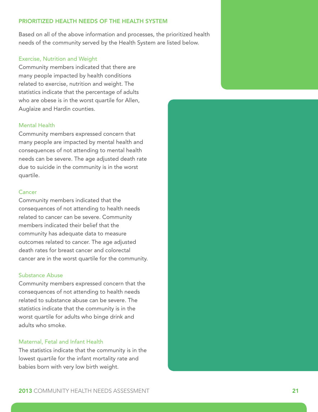#### PRIORITIZED HEALTH NEEDS OF THE HEALTH SYSTEM

Based on all of the above information and processes, the prioritized health needs of the community served by the Health System are listed below.

#### Exercise, Nutrition and Weight

Community members indicated that there are many people impacted by health conditions related to exercise, nutrition and weight. The statistics indicate that the percentage of adults who are obese is in the worst quartile for Allen, Auglaize and Hardin counties.

#### Mental Health

Community members expressed concern that many people are impacted by mental health and consequences of not attending to mental health needs can be severe. The age adjusted death rate due to suicide in the community is in the worst quartile.

#### **Cancer**

Community members indicated that the consequences of not attending to health needs related to cancer can be severe. Community members indicated their belief that the community has adequate data to measure outcomes related to cancer. The age adjusted death rates for breast cancer and colorectal cancer are in the worst quartile for the community.

#### Substance Abuse

Community members expressed concern that the consequences of not attending to health needs related to substance abuse can be severe. The statistics indicate that the community is in the worst quartile for adults who binge drink and adults who smoke.

#### Maternal, Fetal and Infant Health

The statistics indicate that the community is in the lowest quartile for the infant mortality rate and babies born with very low birth weight.